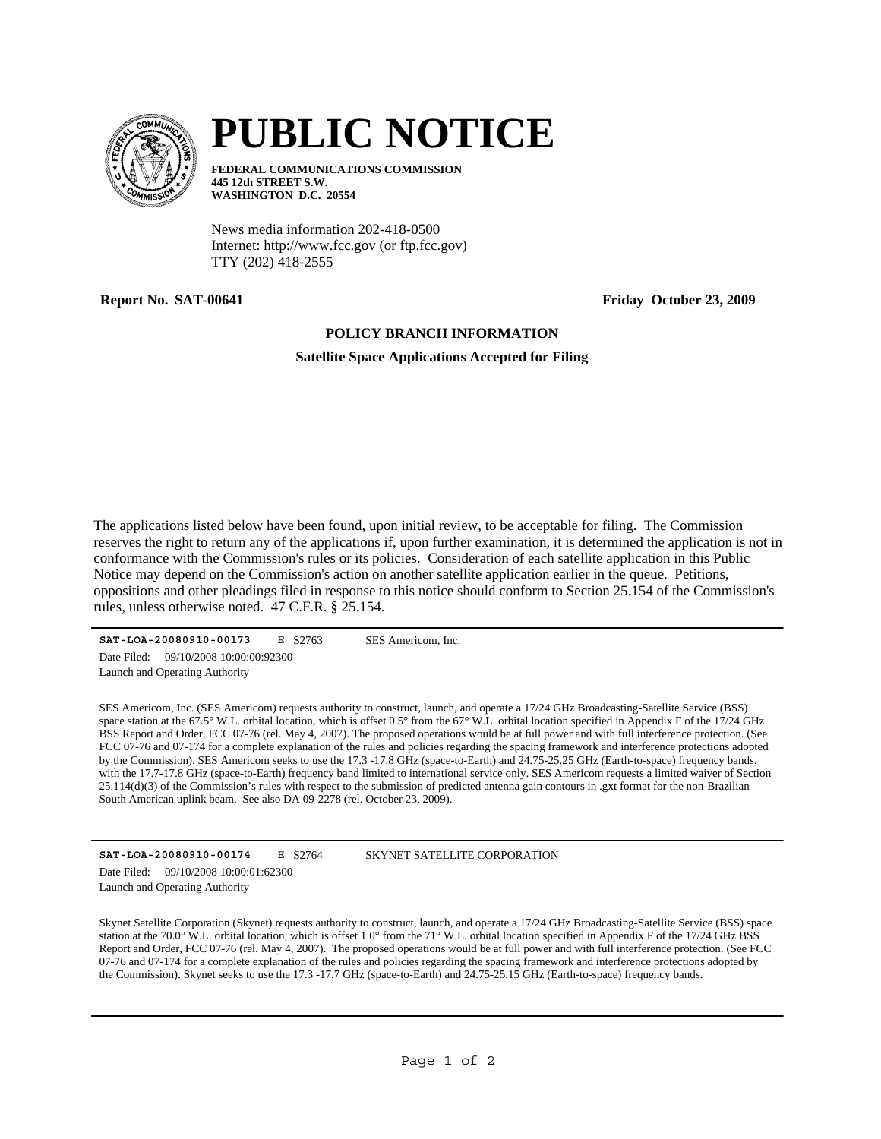

## **PUBLIC NOTICE**

**FEDERAL COMMUNICATIONS COMMISSION 445 12th STREET S.W. WASHINGTON D.C. 20554**

News media information 202-418-0500 Internet: http://www.fcc.gov (or ftp.fcc.gov) TTY (202) 418-2555

**Report No. SAT-00641 Friday October 23, 2009** 

## **POLICY BRANCH INFORMATION**

**Satellite Space Applications Accepted for Filing**

The applications listed below have been found, upon initial review, to be acceptable for filing. The Commission reserves the right to return any of the applications if, upon further examination, it is determined the application is not in conformance with the Commission's rules or its policies. Consideration of each satellite application in this Public Notice may depend on the Commission's action on another satellite application earlier in the queue. Petitions, oppositions and other pleadings filed in response to this notice should conform to Section 25.154 of the Commission's rules, unless otherwise noted. 47 C.F.R. § 25.154.

**SAT-LOA-20080910-00173** E S2763 Launch and Operating Authority Date Filed: 09/10/2008 10:00:00:92300

SES Americom, Inc.

SES Americom, Inc. (SES Americom) requests authority to construct, launch, and operate a 17/24 GHz Broadcasting-Satellite Service (BSS) space station at the 67.5° W.L. orbital location, which is offset 0.5° from the 67° W.L. orbital location specified in Appendix F of the 17/24 GHz BSS Report and Order, FCC 07-76 (rel. May 4, 2007). The proposed operations would be at full power and with full interference protection. (See FCC 07-76 and 07-174 for a complete explanation of the rules and policies regarding the spacing framework and interference protections adopted by the Commission). SES Americom seeks to use the 17.3 -17.8 GHz (space-to-Earth) and 24.75-25.25 GHz (Earth-to-space) frequency bands, with the 17.7-17.8 GHz (space-to-Earth) frequency band limited to international service only. SES Americom requests a limited waiver of Section 25.114(d)(3) of the Commission's rules with respect to the submission of predicted antenna gain contours in .gxt format for the non-Brazilian South American uplink beam. See also DA 09-2278 (rel. October 23, 2009).

| SAT-LOA-20080910-00174 |                                       | E S2764 |
|------------------------|---------------------------------------|---------|
|                        | Date Filed: 09/10/2008 10:00:01:62300 |         |
|                        | Launch and Operating Authority        |         |

SKYNET SATELLITE CORPORATION

Skynet Satellite Corporation (Skynet) requests authority to construct, launch, and operate a 17/24 GHz Broadcasting-Satellite Service (BSS) space station at the 70.0° W.L. orbital location, which is offset 1.0° from the 71° W.L. orbital location specified in Appendix F of the 17/24 GHz BSS Report and Order, FCC 07-76 (rel. May 4, 2007). The proposed operations would be at full power and with full interference protection. (See FCC 07-76 and 07-174 for a complete explanation of the rules and policies regarding the spacing framework and interference protections adopted by the Commission). Skynet seeks to use the 17.3 -17.7 GHz (space-to-Earth) and 24.75-25.15 GHz (Earth-to-space) frequency bands.